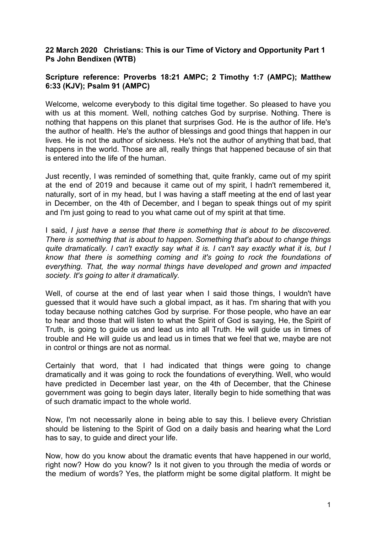## **22 March 2020 Christians: This is our Time of Victory and Opportunity Part 1 Ps John Bendixen (WTB)**

## **Scripture reference: Proverbs 18:21 AMPC; 2 Timothy 1:7 (AMPC); Matthew 6:33 (KJV); Psalm 91 (AMPC)**

Welcome, welcome everybody to this digital time together. So pleased to have you with us at this moment. Well, nothing catches God by surprise. Nothing. There is nothing that happens on this planet that surprises God. He is the author of life. He's the author of health. He's the author of blessings and good things that happen in our lives. He is not the author of sickness. He's not the author of anything that bad, that happens in the world. Those are all, really things that happened because of sin that is entered into the life of the human.

Just recently, I was reminded of something that, quite frankly, came out of my spirit at the end of 2019 and because it came out of my spirit, I hadn't remembered it, naturally, sort of in my head, but I was having a staff meeting at the end of last year in December, on the 4th of December, and I began to speak things out of my spirit and I'm just going to read to you what came out of my spirit at that time.

I said, *I just have a sense that there is something that is about to be discovered. There is something that is about to happen. Something that's about to change things quite dramatically. I can't exactly say what it is. I can't say exactly what it is, but I know that there is something coming and it's going to rock the foundations of everything. That, the way normal things have developed and grown and impacted society. It's going to alter it dramatically.*

Well, of course at the end of last year when I said those things, I wouldn't have guessed that it would have such a global impact, as it has. I'm sharing that with you today because nothing catches God by surprise. For those people, who have an ear to hear and those that will listen to what the Spirit of God is saying, He, the Spirit of Truth, is going to guide us and lead us into all Truth. He will guide us in times of trouble and He will guide us and lead us in times that we feel that we, maybe are not in control or things are not as normal.

Certainly that word, that I had indicated that things were going to change dramatically and it was going to rock the foundations of everything. Well, who would have predicted in December last year, on the 4th of December, that the Chinese government was going to begin days later, literally begin to hide something that was of such dramatic impact to the whole world.

Now, I'm not necessarily alone in being able to say this. I believe every Christian should be listening to the Spirit of God on a daily basis and hearing what the Lord has to say, to guide and direct your life.

Now, how do you know about the dramatic events that have happened in our world, right now? How do you know? Is it not given to you through the media of words or the medium of words? Yes, the platform might be some digital platform. It might be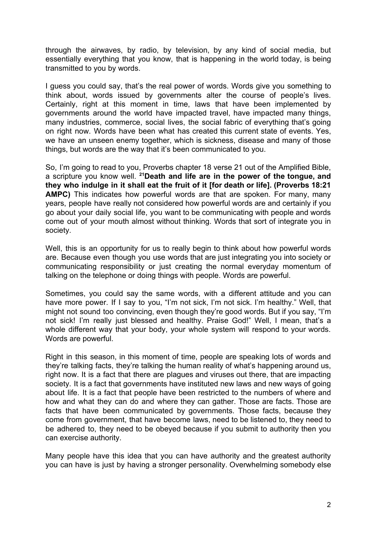through the airwaves, by radio, by television, by any kind of social media, but essentially everything that you know, that is happening in the world today, is being transmitted to you by words.

I guess you could say, that's the real power of words. Words give you something to think about, words issued by governments alter the course of people's lives. Certainly, right at this moment in time, laws that have been implemented by governments around the world have impacted travel, have impacted many things, many industries, commerce, social lives, the social fabric of everything that's going on right now. Words have been what has created this current state of events. Yes, we have an unseen enemy together, which is sickness, disease and many of those things, but words are the way that it's been communicated to you.

So, I'm going to read to you, Proverbs chapter 18 verse 21 out of the Amplified Bible, a scripture you know well. **<sup>21</sup>Death and life are in the power of the tongue, and they who indulge in it shall eat the fruit of it [for death or life]. (Proverbs 18:21 AMPC)** This indicates how powerful words are that are spoken. For many, many years, people have really not considered how powerful words are and certainly if you go about your daily social life, you want to be communicating with people and words come out of your mouth almost without thinking. Words that sort of integrate you in society.

Well, this is an opportunity for us to really begin to think about how powerful words are. Because even though you use words that are just integrating you into society or communicating responsibility or just creating the normal everyday momentum of talking on the telephone or doing things with people. Words are powerful.

Sometimes, you could say the same words, with a different attitude and you can have more power. If I say to you, "I'm not sick, I'm not sick. I'm healthy." Well, that might not sound too convincing, even though they're good words. But if you say, "I'm not sick! I'm really just blessed and healthy. Praise God!" Well, I mean, that's a whole different way that your body, your whole system will respond to your words. Words are powerful.

Right in this season, in this moment of time, people are speaking lots of words and they're talking facts, they're talking the human reality of what's happening around us, right now. It is a fact that there are plagues and viruses out there, that are impacting society. It is a fact that governments have instituted new laws and new ways of going about life. It is a fact that people have been restricted to the numbers of where and how and what they can do and where they can gather. Those are facts. Those are facts that have been communicated by governments. Those facts, because they come from government, that have become laws, need to be listened to, they need to be adhered to, they need to be obeyed because if you submit to authority then you can exercise authority.

Many people have this idea that you can have authority and the greatest authority you can have is just by having a stronger personality. Overwhelming somebody else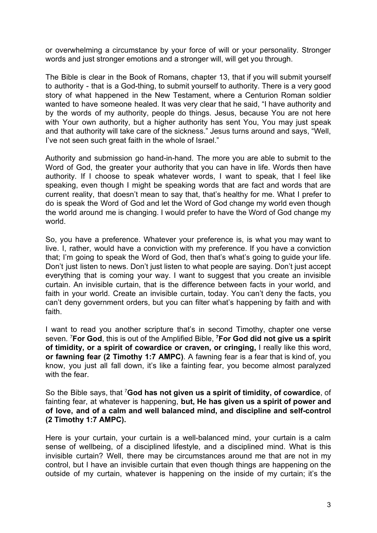or overwhelming a circumstance by your force of will or your personality. Stronger words and just stronger emotions and a stronger will, will get you through.

The Bible is clear in the Book of Romans, chapter 13, that if you will submit yourself to authority - that is a God-thing, to submit yourself to authority. There is a very good story of what happened in the New Testament, where a Centurion Roman soldier wanted to have someone healed. It was very clear that he said, "I have authority and by the words of my authority, people do things. Jesus, because You are not here with Your own authority, but a higher authority has sent You, You may just speak and that authority will take care of the sickness." Jesus turns around and says, "Well, I've not seen such great faith in the whole of Israel."

Authority and submission go hand-in-hand. The more you are able to submit to the Word of God, the greater your authority that you can have in life. Words then have authority. If I choose to speak whatever words, I want to speak, that I feel like speaking, even though I might be speaking words that are fact and words that are current reality, that doesn't mean to say that, that's healthy for me. What I prefer to do is speak the Word of God and let the Word of God change my world even though the world around me is changing. I would prefer to have the Word of God change my world.

So, you have a preference. Whatever your preference is, is what you may want to live. I, rather, would have a conviction with my preference. If you have a conviction that; I'm going to speak the Word of God, then that's what's going to guide your life. Don't just listen to news. Don't just listen to what people are saying. Don't just accept everything that is coming your way. I want to suggest that you create an invisible curtain. An invisible curtain, that is the difference between facts in your world, and faith in your world. Create an invisible curtain, today. You can't deny the facts, you can't deny government orders, but you can filter what's happening by faith and with faith.

I want to read you another scripture that's in second Timothy, chapter one verse seven. <sup>7</sup>**For God**, this is out of the Amplified Bible, **<sup>7</sup>For God did not give us a spirit of timidity, or a spirit of cowardice or craven, or cringing,** I really like this word, **or fawning fear (2 Timothy 1:7 AMPC)**. A fawning fear is a fear that is kind of, you know, you just all fall down, it's like a fainting fear, you become almost paralyzed with the fear.

So the Bible says, that <sup>7</sup>**God has not given us a spirit of timidity, of cowardice**, of fainting fear, at whatever is happening, **but, He has given us a spirit of power and of love, and of a calm and well balanced mind, and discipline and self-control (2 Timothy 1:7 AMPC).**

Here is your curtain, your curtain is a well-balanced mind, your curtain is a calm sense of wellbeing, of a disciplined lifestyle, and a disciplined mind. What is this invisible curtain? Well, there may be circumstances around me that are not in my control, but I have an invisible curtain that even though things are happening on the outside of my curtain, whatever is happening on the inside of my curtain; it's the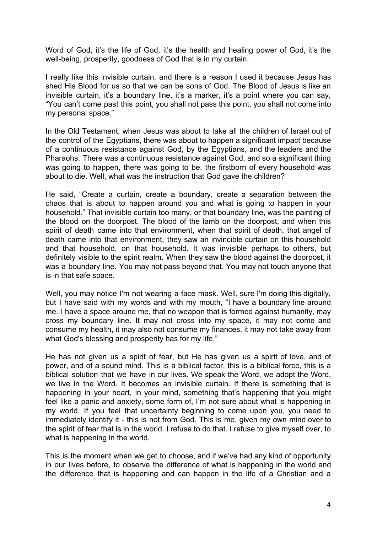Word of God, it's the life of God, it's the health and healing power of God, it's the well-being, prosperity, goodness of God that is in my curtain.

I really like this invisible curtain, and there is a reason I used it because Jesus has shed His Blood for us so that we can be sons of God. The Blood of Jesus is like an invisible curtain, it's a boundary line, it's a marker, it's a point where you can say, "You can't come past this point, you shall not pass this point, you shall not come into my personal space."

In the Old Testament, when Jesus was about to take all the children of Israel out of the control of the Egyptians, there was about to happen a significant impact because of a continuous resistance against God, by the Egyptians, and the leaders and the Pharaohs. There was a continuous resistance against God, and so a significant thing was going to happen, there was going to be, the firstborn of every household was about to die. Well, what was the instruction that God gave the children?

He said, "Create a curtain, create a boundary, create a separation between the chaos that is about to happen around you and what is going to happen in your household." That invisible curtain too many, or that boundary line, was the painting of the blood on the doorpost. The blood of the lamb on the doorpost, and when this spirit of death came into that environment, when that spirit of death, that angel of death came into that environment, they saw an invincible curtain on this household and that household, on that household. It was invisible perhaps to others, but definitely visible to the spirit realm. When they saw the blood against the doorpost, it was a boundary line. You may not pass beyond that. You may not touch anyone that is in that safe space.

Well, you may notice I'm not wearing a face mask. Well, sure I'm doing this digitally, but I have said with my words and with my mouth, "I have a boundary line around me. I have a space around me, that no weapon that is formed against humanity, may cross my boundary line. It may not cross into my space, it may not come and consume my health, it may also not consume my finances, it may not take away from what God's blessing and prosperity has for my life."

He has not given us a spirit of fear, but He has given us a spirit of love, and of power, and of a sound mind. This is a biblical factor, this is a biblical force, this is a biblical solution that we have in our lives. We speak the Word, we adopt the Word, we live in the Word. It becomes an invisible curtain. If there is something that is happening in your heart, in your mind, something that's happening that you might feel like a panic and anxiety, some form of, I'm not sure about what is happening in my world. If you feel that uncertainty beginning to come upon you, you need to immediately identify it - this is not from God. This is me, given my own mind over to the spirit of fear that is in the world. I refuse to do that. I refuse to give myself over, to what is happening in the world.

This is the moment when we get to choose, and if we've had any kind of opportunity in our lives before, to observe the difference of what is happening in the world and the difference that is happening and can happen in the life of a Christian and a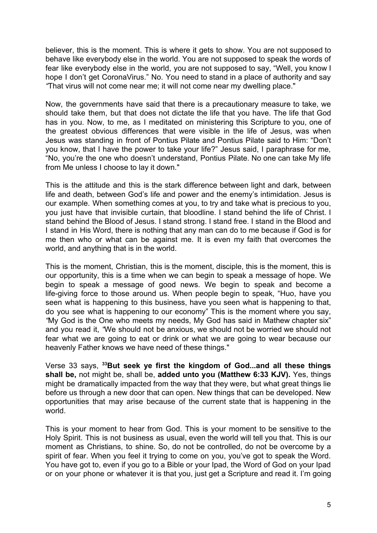believer, this is the moment. This is where it gets to show. You are not supposed to behave like everybody else in the world. You are not supposed to speak the words of fear like everybody else in the world, you are not supposed to say, "Well, you know I hope I don't get CoronaVirus." No. You need to stand in a place of authority and say *"*That virus will not come near me; it will not come near my dwelling place."

Now, the governments have said that there is a precautionary measure to take, we should take them, but that does not dictate the life that you have. The life that God has in you. Now, to me, as I meditated on ministering this Scripture to you, one of the greatest obvious differences that were visible in the life of Jesus, was when Jesus was standing in front of Pontius Pilate and Pontius Pilate said to Him: "Don't you know, that I have the power to take your life?" Jesus said, I paraphrase for me, "No, you're the one who doesn't understand, Pontius Pilate. No one can take My life from Me unless I choose to lay it down."

This is the attitude and this is the stark difference between light and dark, between life and death, between God's life and power and the enemy's intimidation. Jesus is our example. When something comes at you, to try and take what is precious to you, you just have that invisible curtain, that bloodline. I stand behind the life of Christ. I stand behind the Blood of Jesus. I stand strong. I stand free. I stand in the Blood and I stand in His Word, there is nothing that any man can do to me because if God is for me then who or what can be against me. It is even my faith that overcomes the world, and anything that is in the world.

This is the moment, Christian, this is the moment, disciple, this is the moment, this is our opportunity, this is a time when we can begin to speak a message of hope. We begin to speak a message of good news. We begin to speak and become a life-giving force to those around us. When people begin to speak, "Huo, have you seen what is happening to this business, have you seen what is happening to that, do you see what is happening to our economy" This is the moment where you say, *"*My God is the One who meets my needs, My God has said in Mathew chapter six" and you read it, *"*We should not be anxious, we should not be worried we should not fear what we are going to eat or drink or what we are going to wear because our heavenly Father knows we have need of these things."

Verse 33 says, **<sup>33</sup>But seek ye first the kingdom of God...and all these things shall be,** not might be, shall be, **added unto you (Matthew 6:33 KJV).** Yes, things might be dramatically impacted from the way that they were, but what great things lie before us through a new door that can open. New things that can be developed. New opportunities that may arise because of the current state that is happening in the world.

This is your moment to hear from God. This is your moment to be sensitive to the Holy Spirit. This is not business as usual, even the world will tell you that. This is our moment as Christians, to shine. So, do not be controlled, do not be overcome by a spirit of fear. When you feel it trying to come on you, you've got to speak the Word. You have got to, even if you go to a Bible or your Ipad, the Word of God on your Ipad or on your phone or whatever it is that you, just get a Scripture and read it. I'm going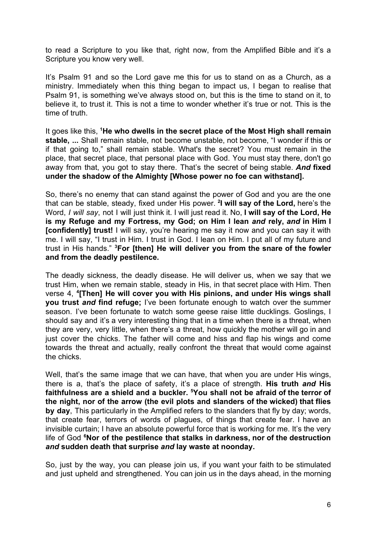to read a Scripture to you like that, right now, from the Amplified Bible and it's a Scripture you know very well.

It's Psalm 91 and so the Lord gave me this for us to stand on as a Church, as a ministry. Immediately when this thing began to impact us, I began to realise that Psalm 91, is something we've always stood on, but this is the time to stand on it, to believe it, to trust it. This is not a time to wonder whether it's true or not. This is the time of truth.

It goes like this, **<sup>1</sup>He who dwells in the secret place of the Most High shall remain stable, ...** Shall remain stable, not become unstable, not become, "I wonder if this or if that going to," shall remain stable. What's the secret? You must remain in the place, that secret place, that personal place with God. You must stay there, don't go away from that, you got to stay there. That's the secret of being stable. *And* **fixed under the shadow of the Almighty [Whose power no foe can withstand].**

So, there's no enemy that can stand against the power of God and you are the one that can be stable, steady, fixed under His power. **<sup>2</sup> I will say of the Lord,** here's the Word, *I will say*, not I will just think it. I will just read it. No, **I will say of the Lord, He is my Refuge and my Fortress, my God; on Him I lean** *and* **rely,** *and* **in Him I [confidently] trust!** I will say, you're hearing me say it now and you can say it with me. I will say, "I trust in Him. I trust in God. I lean on Him. I put all of my future and trust in His hands." **<sup>3</sup>For [then] He will deliver you from the snare of the fowler and from the deadly pestilence.**

The deadly sickness, the deadly disease. He will deliver us, when we say that we trust Him, when we remain stable, steady in His, in that secret place with Him. Then verse 4, **<sup>4</sup> [Then] He will cover you with His pinions, and under His wings shall you trust** *and* **find refuge;** I've been fortunate enough to watch over the summer season. I've been fortunate to watch some geese raise little ducklings. Goslings, I should say and it's a very interesting thing that in a time when there is a threat, when they are very, very little, when there's a threat, how quickly the mother will go in and just cover the chicks. The father will come and hiss and flap his wings and come towards the threat and actually, really confront the threat that would come against the chicks.

Well, that's the same image that we can have, that when you are under His wings, there is a, that's the place of safety, it's a place of strength. **His truth** *and* **His faithfulness are a shield and a buckler. <sup>5</sup>You shall not be afraid of the terror of the night, nor of the arrow (the evil plots and slanders of the wicked) that flies by day**, This particularly in the Amplified refers to the slanders that fly by day; words, that create fear, terrors of words of plagues, of things that create fear. I have an invisible curtain; I have an absolute powerful force that is working for me. It's the very life of God **<sup>6</sup>Nor of the pestilence that stalks in darkness, nor of the destruction** *and* **sudden death that surprise** *and* **lay waste at noonday.**

So, just by the way, you can please join us, if you want your faith to be stimulated and just upheld and strengthened. You can join us in the days ahead, in the morning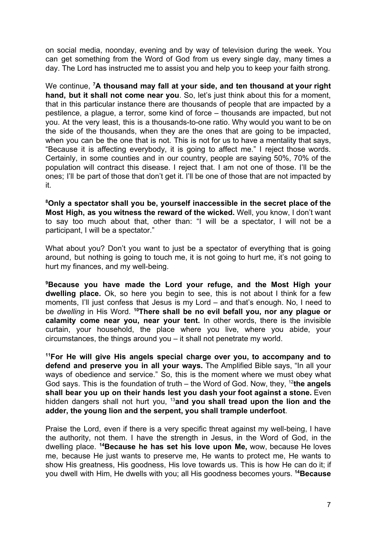on social media, noonday, evening and by way of television during the week. You can get something from the Word of God from us every single day, many times a day. The Lord has instructed me to assist you and help you to keep your faith strong.

We continue, **<sup>7</sup>A thousand may fall at your side, and ten thousand at your right hand, but it shall not come near you**. So, let's just think about this for a moment, that in this particular instance there are thousands of people that are impacted by a pestilence, a plague, a terror, some kind of force – thousands are impacted, but not you. At the very least, this is a thousands-to-one ratio. Why would you want to be on the side of the thousands, when they are the ones that are going to be impacted, when you can be the one that is not. This is not for us to have a mentality that says, "Because it is affecting everybody, it is going to affect me." I reject those words. Certainly, in some counties and in our country, people are saying 50%, 70% of the population will contract this disease. I reject that. I am not one of those. I'll be the ones; I'll be part of those that don't get it. I'll be one of those that are not impacted by it.

**<sup>8</sup>Only a spectator shall you be, yourself inaccessible in the secret place of the Most High, as you witness the reward of the wicked.** Well, you know, I don't want to say too much about that, other than: "I will be a spectator, I will not be a participant, I will be a spectator."

What about you? Don't you want to just be a spectator of everything that is going around, but nothing is going to touch me, it is not going to hurt me, it's not going to hurt my finances, and my well-being.

**<sup>9</sup>Because you have made the Lord your refuge, and the Most High your dwelling place.** Ok, so here you begin to see, this is not about I think for a few moments, I'll just confess that Jesus is my Lord – and that's enough. No, I need to be *dwelling* in His Word. **<sup>10</sup>There shall be no evil befall you, nor any plague or calamity come near you, near your tent.** In other words, there is the invisible curtain, your household, the place where you live, where you abide, your circumstances, the things around you – it shall not penetrate my world.

**<sup>11</sup>For He will give His angels special charge over you, to accompany and to defend and preserve you in all your ways.** The Amplified Bible says, "In all your ways of obedience and service." So, this is the moment where we must obey what God says. This is the foundation of truth – the Word of God. Now, they, <sup>12</sup>the angels **shall bear you up on their hands lest you dash your foot against a stone.** Even hidden dangers shall not hurt you, <sup>13</sup>**and you shall tread upon the lion and the adder, the young lion and the serpent, you shall trample underfoot**.

Praise the Lord, even if there is a very specific threat against my well-being, I have the authority, not them. I have the strength in Jesus, in the Word of God, in the dwelling place. **<sup>14</sup>Because he has set his love upon Me,** wow, because He loves me, because He just wants to preserve me, He wants to protect me, He wants to show His greatness, His goodness, His love towards us. This is how He can do it; if you dwell with Him, He dwells with you; all His goodness becomes yours. **<sup>14</sup>Because**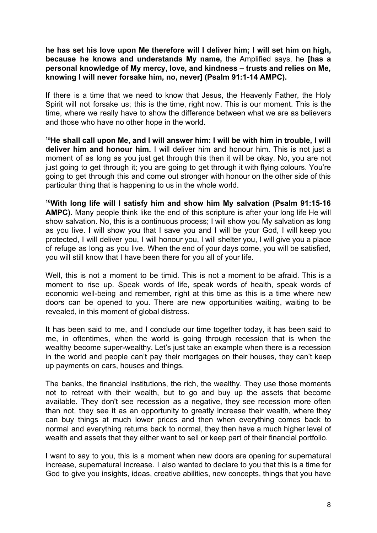**he has set his love upon Me therefore will I deliver him; I will set him on high, because he knows and understands My name,** the Amplified says, he **[has a personal knowledge of My mercy, love, and kindness – trusts and relies on Me, knowing I will never forsake him, no, never] (Psalm 91:1-14 AMPC).**

If there is a time that we need to know that Jesus, the Heavenly Father, the Holy Spirit will not forsake us; this is the time, right now. This is our moment. This is the time, where we really have to show the difference between what we are as believers and those who have no other hope in the world.

<sup>15</sup>He shall call upon Me, and I will answer him: I will be with him in trouble, I will **deliver him and honour him.** I will deliver him and honour him. This is not just a moment of as long as you just get through this then it will be okay. No, you are not just going to get through it; you are going to get through it with flying colours. You're going to get through this and come out stronger with honour on the other side of this particular thing that is happening to us in the whole world.

**<sup>16</sup>With long life will I satisfy him and show him My salvation (Psalm 91:15-16 AMPC).** Many people think like the end of this scripture is after your long life He will show salvation. No, this is a continuous process; I will show you My salvation as long as you live. I will show you that I save you and I will be your God, I will keep you protected, I will deliver you, I will honour you, I will shelter you, I will give you a place of refuge as long as you live. When the end of your days come, you will be satisfied, you will still know that I have been there for you all of your life.

Well, this is not a moment to be timid. This is not a moment to be afraid. This is a moment to rise up. Speak words of life, speak words of health, speak words of economic well-being and remember, right at this time as this is a time where new doors can be opened to you. There are new opportunities waiting, waiting to be revealed, in this moment of global distress.

It has been said to me, and I conclude our time together today, it has been said to me, in oftentimes, when the world is going through recession that is when the wealthy become super-wealthy. Let's just take an example when there is a recession in the world and people can't pay their mortgages on their houses, they can't keep up payments on cars, houses and things.

The banks, the financial institutions, the rich, the wealthy. They use those moments not to retreat with their wealth, but to go and buy up the assets that become available. They don't see recession as a negative, they see recession more often than not, they see it as an opportunity to greatly increase their wealth, where they can buy things at much lower prices and then when everything comes back to normal and everything returns back to normal, they then have a much higher level of wealth and assets that they either want to sell or keep part of their financial portfolio.

I want to say to you, this is a moment when new doors are opening for supernatural increase, supernatural increase. I also wanted to declare to you that this is a time for God to give you insights, ideas, creative abilities, new concepts, things that you have